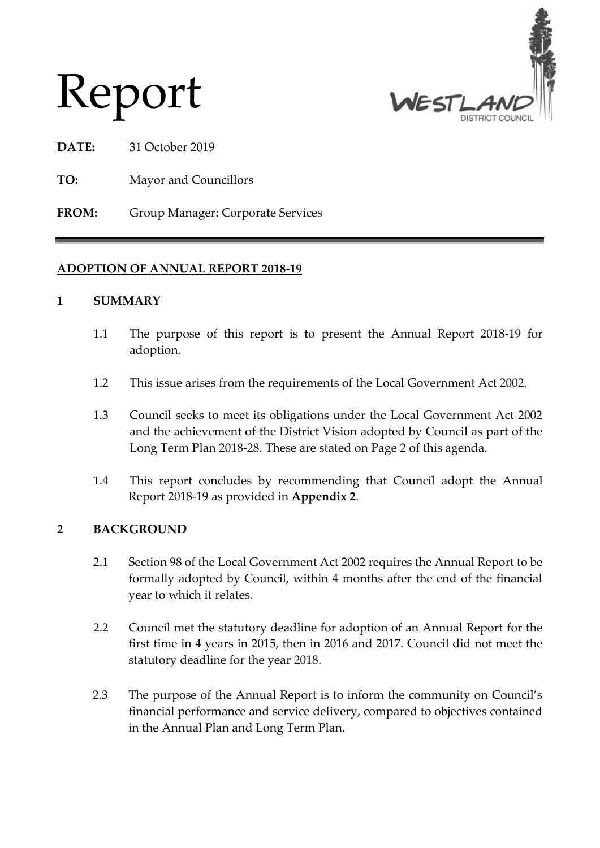

# Report

- **DATE:** 31 October 2019
- **TO:** Mayor and Councillors

**FROM:** Group Manager: Corporate Services

# **ADOPTION OF ANNUAL REPORT 2018-19**

## **1 SUMMARY**

- 1.1 The purpose of this report is to present the Annual Report 2018-19 for adoption.
- 1.2 This issue arises from the requirements of the Local Government Act 2002.
- 1.3 Council seeks to meet its obligations under the Local Government Act 2002 and the achievement of the District Vision adopted by Council as part of the Long Term Plan 2018-28. These are stated on Page 2 of this agenda.
- 1.4 This report concludes by recommending that Council adopt the Annual Report 2018-19 as provided in **Appendix 2**.

# **2 BACKGROUND**

- 2.1 Section 98 of the Local Government Act 2002 requires the Annual Report to be formally adopted by Council, within 4 months after the end of the financial year to which it relates.
- 2.2 Council met the statutory deadline for adoption of an Annual Report for the first time in 4 years in 2015, then in 2016 and 2017. Council did not meet the statutory deadline for the year 2018.
- 2.3 The purpose of the Annual Report is to inform the community on Council's financial performance and service delivery, compared to objectives contained in the Annual Plan and Long Term Plan.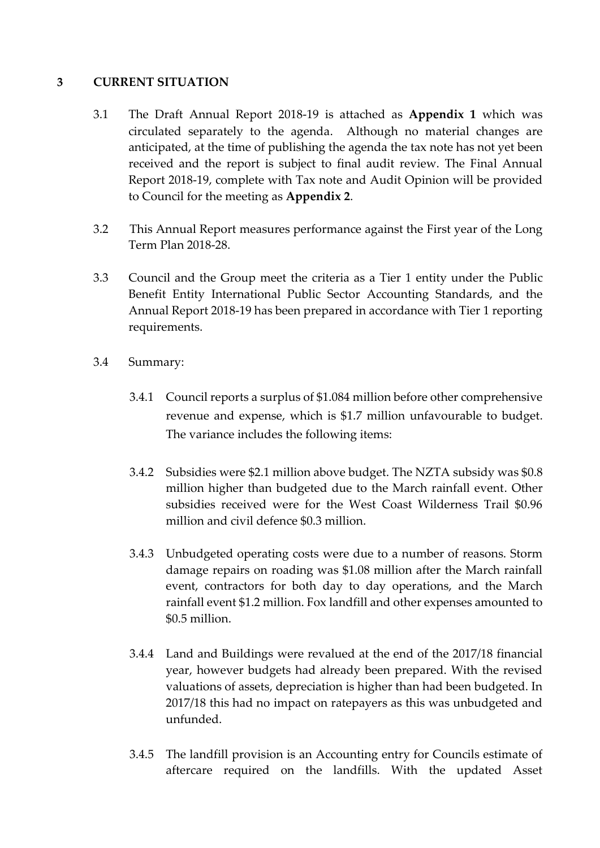#### **3 CURRENT SITUATION**

- 3.1 The Draft Annual Report 2018-19 is attached as **Appendix 1** which was circulated separately to the agenda. Although no material changes are anticipated, at the time of publishing the agenda the tax note has not yet been received and the report is subject to final audit review. The Final Annual Report 2018-19, complete with Tax note and Audit Opinion will be provided to Council for the meeting as **Appendix 2**.
- 3.2 This Annual Report measures performance against the First year of the Long Term Plan 2018-28.
- 3.3 Council and the Group meet the criteria as a Tier 1 entity under the Public Benefit Entity International Public Sector Accounting Standards, and the Annual Report 2018-19 has been prepared in accordance with Tier 1 reporting requirements.
- 3.4 Summary:
	- 3.4.1 Council reports a surplus of \$1.084 million before other comprehensive revenue and expense, which is \$1.7 million unfavourable to budget. The variance includes the following items:
	- 3.4.2 Subsidies were \$2.1 million above budget. The NZTA subsidy was \$0.8 million higher than budgeted due to the March rainfall event. Other subsidies received were for the West Coast Wilderness Trail \$0.96 million and civil defence \$0.3 million.
	- 3.4.3 Unbudgeted operating costs were due to a number of reasons. Storm damage repairs on roading was \$1.08 million after the March rainfall event, contractors for both day to day operations, and the March rainfall event \$1.2 million. Fox landfill and other expenses amounted to \$0.5 million.
	- 3.4.4 Land and Buildings were revalued at the end of the 2017/18 financial year, however budgets had already been prepared. With the revised valuations of assets, depreciation is higher than had been budgeted. In 2017/18 this had no impact on ratepayers as this was unbudgeted and unfunded.
	- 3.4.5 The landfill provision is an Accounting entry for Councils estimate of aftercare required on the landfills. With the updated Asset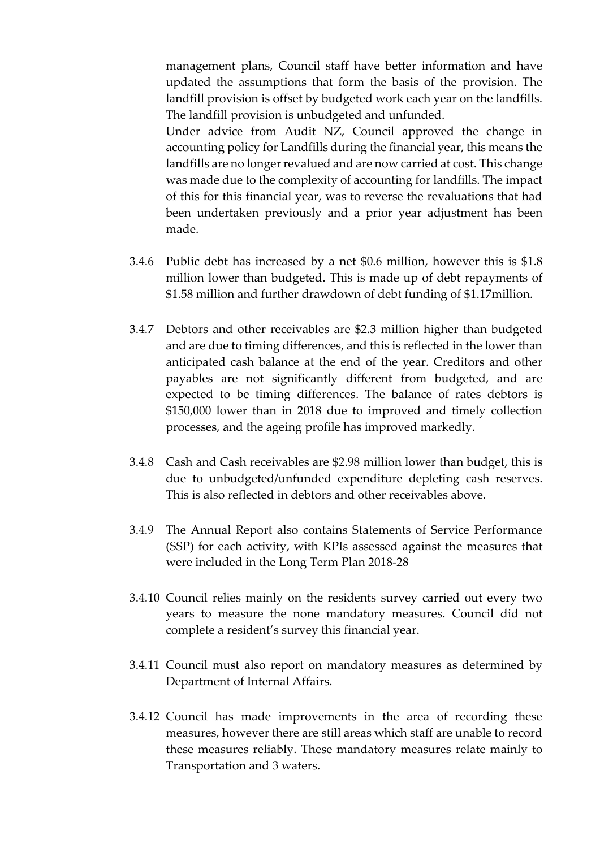management plans, Council staff have better information and have updated the assumptions that form the basis of the provision. The landfill provision is offset by budgeted work each year on the landfills. The landfill provision is unbudgeted and unfunded.

Under advice from Audit NZ, Council approved the change in accounting policy for Landfills during the financial year, this means the landfills are no longer revalued and are now carried at cost. This change was made due to the complexity of accounting for landfills. The impact of this for this financial year, was to reverse the revaluations that had been undertaken previously and a prior year adjustment has been made.

- 3.4.6 Public debt has increased by a net \$0.6 million, however this is \$1.8 million lower than budgeted. This is made up of debt repayments of \$1.58 million and further drawdown of debt funding of \$1.17million.
- 3.4.7 Debtors and other receivables are \$2.3 million higher than budgeted and are due to timing differences, and this is reflected in the lower than anticipated cash balance at the end of the year. Creditors and other payables are not significantly different from budgeted, and are expected to be timing differences. The balance of rates debtors is \$150,000 lower than in 2018 due to improved and timely collection processes, and the ageing profile has improved markedly.
- 3.4.8 Cash and Cash receivables are \$2.98 million lower than budget, this is due to unbudgeted/unfunded expenditure depleting cash reserves. This is also reflected in debtors and other receivables above.
- 3.4.9 The Annual Report also contains Statements of Service Performance (SSP) for each activity, with KPIs assessed against the measures that were included in the Long Term Plan 2018-28
- 3.4.10 Council relies mainly on the residents survey carried out every two years to measure the none mandatory measures. Council did not complete a resident's survey this financial year.
- 3.4.11 Council must also report on mandatory measures as determined by Department of Internal Affairs.
- 3.4.12 Council has made improvements in the area of recording these measures, however there are still areas which staff are unable to record these measures reliably. These mandatory measures relate mainly to Transportation and 3 waters.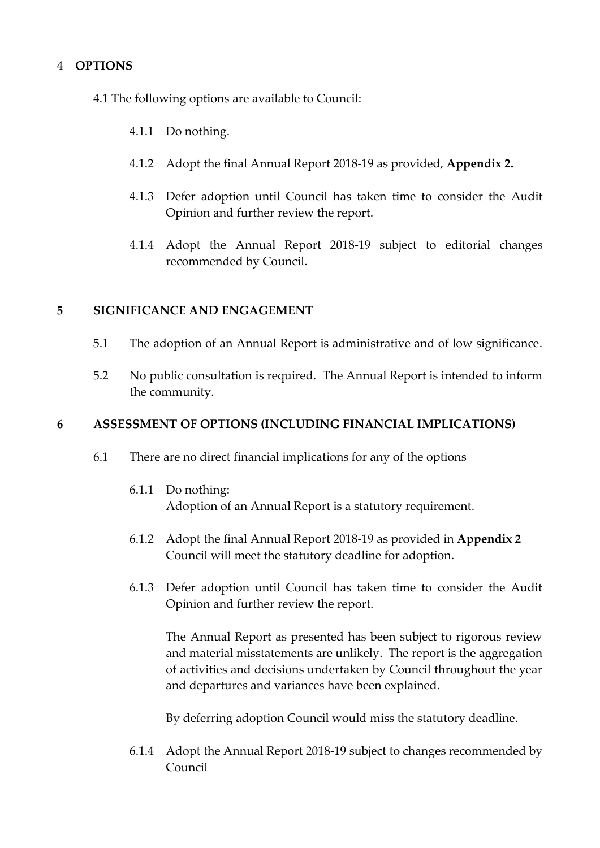## 4 **OPTIONS**

- 4.1 The following options are available to Council:
	- 4.1.1 Do nothing.
	- 4.1.2 Adopt the final Annual Report 2018-19 as provided, **Appendix 2.**
	- 4.1.3 Defer adoption until Council has taken time to consider the Audit Opinion and further review the report.
	- 4.1.4 Adopt the Annual Report 2018-19 subject to editorial changes recommended by Council.

#### **5 SIGNIFICANCE AND ENGAGEMENT**

- 5.1 The adoption of an Annual Report is administrative and of low significance.
- 5.2 No public consultation is required. The Annual Report is intended to inform the community.

#### **6 ASSESSMENT OF OPTIONS (INCLUDING FINANCIAL IMPLICATIONS)**

- 6.1 There are no direct financial implications for any of the options
	- 6.1.1 Do nothing: Adoption of an Annual Report is a statutory requirement.
	- 6.1.2 Adopt the final Annual Report 2018-19 as provided in **Appendix 2** Council will meet the statutory deadline for adoption.
	- 6.1.3 Defer adoption until Council has taken time to consider the Audit Opinion and further review the report.

The Annual Report as presented has been subject to rigorous review and material misstatements are unlikely. The report is the aggregation of activities and decisions undertaken by Council throughout the year and departures and variances have been explained.

By deferring adoption Council would miss the statutory deadline.

6.1.4 Adopt the Annual Report 2018-19 subject to changes recommended by Council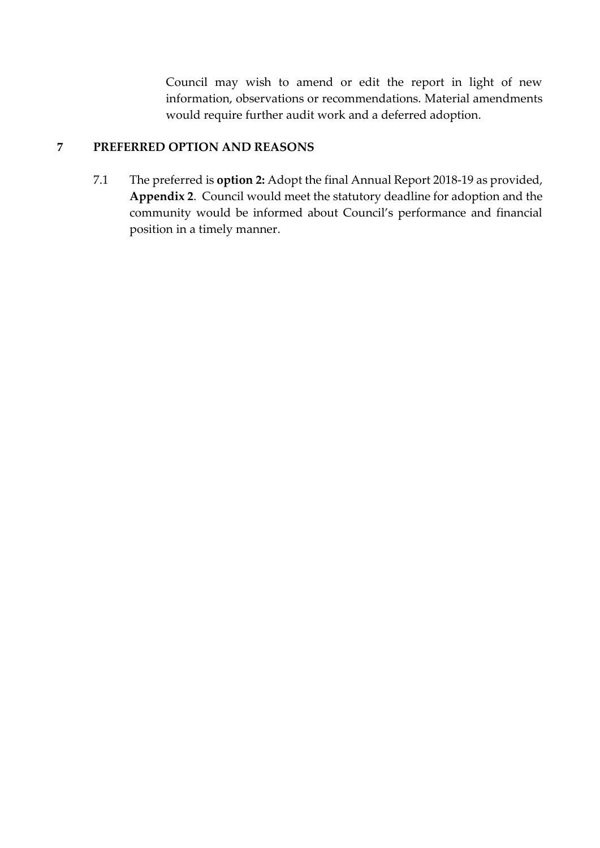Council may wish to amend or edit the report in light of new information, observations or recommendations. Material amendments would require further audit work and a deferred adoption.

## **7 PREFERRED OPTION AND REASONS**

7.1 The preferred is **option 2:** Adopt the final Annual Report 2018-19 as provided, **Appendix 2**. Council would meet the statutory deadline for adoption and the community would be informed about Council's performance and financial position in a timely manner.